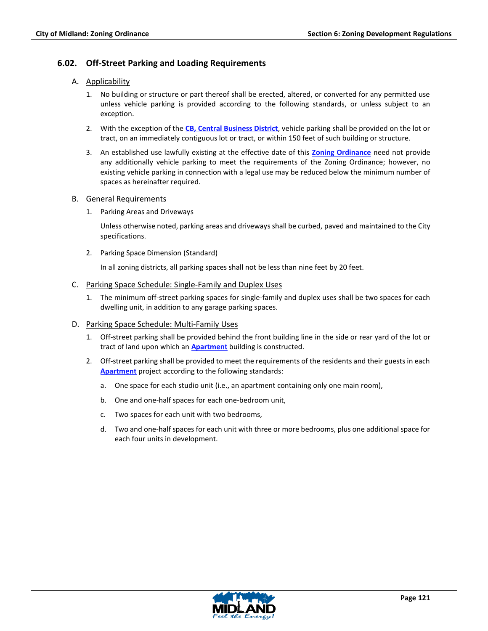# **6.02. Off-Street Parking and Loading Requirements**

## A. Applicability

- 1. No building or structure or part thereof shall be erected, altered, or converted for any permitted use unless vehicle parking is provided according to the following standards, or unless subject to an exception.
- 2. With the exception of the **CB, Central Business District**, vehicle parking shall be provided on the lot or tract, on an immediately contiguous lot or tract, or within 150 feet of such building or structure.
- 3. An established use lawfully existing at the effective date of this **Zoning Ordinance** need not provide any additionally vehicle parking to meet the requirements of the Zoning Ordinance; however, no existing vehicle parking in connection with a legal use may be reduced below the minimum number of spaces as hereinafter required.

## B. General Requirements

1. Parking Areas and Driveways

Unless otherwise noted, parking areas and driveways shall be curbed, paved and maintained to the City specifications.

2. Parking Space Dimension (Standard)

In all zoning districts, all parking spaces shall not be less than nine feet by 20 feet.

## C. Parking Space Schedule: Single-Family and Duplex Uses

1. The minimum off-street parking spaces for single-family and duplex uses shall be two spaces for each dwelling unit, in addition to any garage parking spaces.

## D. Parking Space Schedule: Multi-Family Uses

- 1. Off-street parking shall be provided behind the front building line in the side or rear yard of the lot or tract of land upon which an **Apartment** building is constructed.
- 2. Off-street parking shall be provided to meet the requirements of the residents and their guests in each **Apartment** project according to the following standards:
	- a. One space for each studio unit (i.e., an apartment containing only one main room),
	- b. One and one-half spaces for each one-bedroom unit,
	- c. Two spaces for each unit with two bedrooms,
	- d. Two and one-half spaces for each unit with three or more bedrooms, plus one additional space for each four units in development.

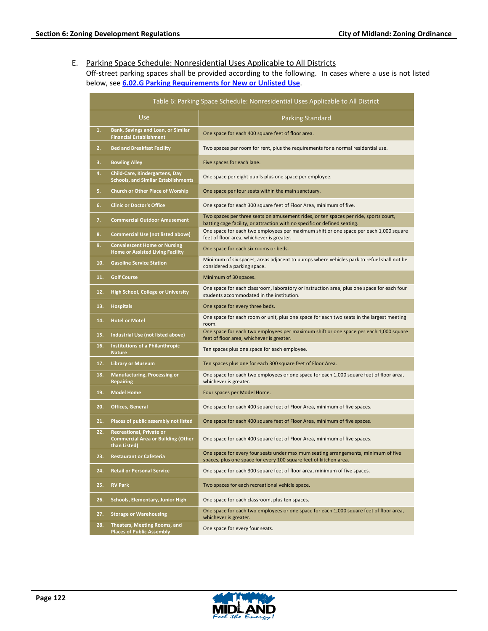## E. Parking Space Schedule: Nonresidential Uses Applicable to All Districts

Off-street parking spaces shall be provided according to the following. In cases where a use is not listed below, see **6.02.G Parking Requirements for New or Unlisted Use**.

| Table 6: Parking Space Schedule: Nonresidential Uses Applicable to All District                     |                                                                                                                                                                   |  |
|-----------------------------------------------------------------------------------------------------|-------------------------------------------------------------------------------------------------------------------------------------------------------------------|--|
| Use                                                                                                 | <b>Parking Standard</b>                                                                                                                                           |  |
| 1.<br>Bank, Savings and Loan, or Similar<br><b>Financial Establishment</b>                          | One space for each 400 square feet of floor area.                                                                                                                 |  |
| 2.<br><b>Bed and Breakfast Facility</b>                                                             | Two spaces per room for rent, plus the requirements for a normal residential use.                                                                                 |  |
| 3.<br><b>Bowling Alley</b>                                                                          | Five spaces for each lane.                                                                                                                                        |  |
| 4.<br>Child-Care, Kindergartens, Day<br><b>Schools, and Similar Establishments</b>                  | One space per eight pupils plus one space per employee.                                                                                                           |  |
| <b>Church or Other Place of Worship</b><br>5.                                                       | One space per four seats within the main sanctuary.                                                                                                               |  |
| 6.<br><b>Clinic or Doctor's Office</b>                                                              | One space for each 300 square feet of Floor Area, minimum of five.                                                                                                |  |
| 7.<br><b>Commercial Outdoor Amusement</b>                                                           | Two spaces per three seats on amusement rides, or ten spaces per ride, sports court,<br>batting cage facility, or attraction with no specific or defined seating. |  |
| 8.<br>Commercial Use (not listed above)                                                             | One space for each two employees per maximum shift or one space per each 1,000 square<br>feet of floor area, whichever is greater.                                |  |
| 9.<br><b>Convalescent Home or Nursing</b><br><b>Home or Assisted Living Facility</b>                | One space for each six rooms or beds.                                                                                                                             |  |
| 10.<br><b>Gasoline Service Station</b>                                                              | Minimum of six spaces, areas adjacent to pumps where vehicles park to refuel shall not be<br>considered a parking space.                                          |  |
| <b>Golf Course</b><br>11.                                                                           | Minimum of 30 spaces.                                                                                                                                             |  |
| High School, College or University<br>12.                                                           | One space for each classroom, laboratory or instruction area, plus one space for each four<br>students accommodated in the institution.                           |  |
| 13.<br><b>Hospitals</b>                                                                             | One space for every three beds.                                                                                                                                   |  |
| <b>Hotel or Motel</b><br>14.                                                                        | One space for each room or unit, plus one space for each two seats in the largest meeting<br>room.                                                                |  |
| Industrial Use (not listed above)<br>15.                                                            | One space for each two employees per maximum shift or one space per each 1,000 square<br>feet of floor area, whichever is greater.                                |  |
| 16.<br><b>Institutions of a Philanthropic</b><br><b>Nature</b>                                      | Ten spaces plus one space for each employee.                                                                                                                      |  |
| 17.<br><b>Library or Museum</b>                                                                     | Ten spaces plus one for each 300 square feet of Floor Area.                                                                                                       |  |
| 18.<br><b>Manufacturing, Processing or</b><br><b>Repairing</b>                                      | One space for each two employees or one space for each 1,000 square feet of floor area,<br>whichever is greater.                                                  |  |
| 19.<br><b>Model Home</b>                                                                            | Four spaces per Model Home.                                                                                                                                       |  |
| 20.<br><b>Offices, General</b>                                                                      | One space for each 400 square feet of Floor Area, minimum of five spaces.                                                                                         |  |
| Places of public assembly not listed<br>21.                                                         | One space for each 400 square feet of Floor Area, minimum of five spaces.                                                                                         |  |
| 22.<br><b>Recreational, Private or</b><br><b>Commercial Area or Building (Other</b><br>than Listed) | One space for each 400 square feet of Floor Area, minimum of five spaces.                                                                                         |  |
| 23.<br><b>Restaurant or Cafeteria</b>                                                               | One space for every four seats under maximum seating arrangements, minimum of five<br>spaces, plus one space for every 100 square feet of kitchen area.           |  |
| 24.<br><b>Retail or Personal Service</b>                                                            | One space for each 300 square feet of floor area, minimum of five spaces.                                                                                         |  |
| 25.<br><b>RV Park</b>                                                                               | Two spaces for each recreational vehicle space.                                                                                                                   |  |
| 26.<br>Schools, Elementary, Junior High                                                             | One space for each classroom, plus ten spaces.                                                                                                                    |  |
| 27.<br><b>Storage or Warehousing</b>                                                                | One space for each two employees or one space for each 1,000 square feet of floor area,<br>whichever is greater.                                                  |  |
| 28.<br>Theaters, Meeting Rooms, and<br><b>Places of Public Assembly</b>                             | One space for every four seats.                                                                                                                                   |  |

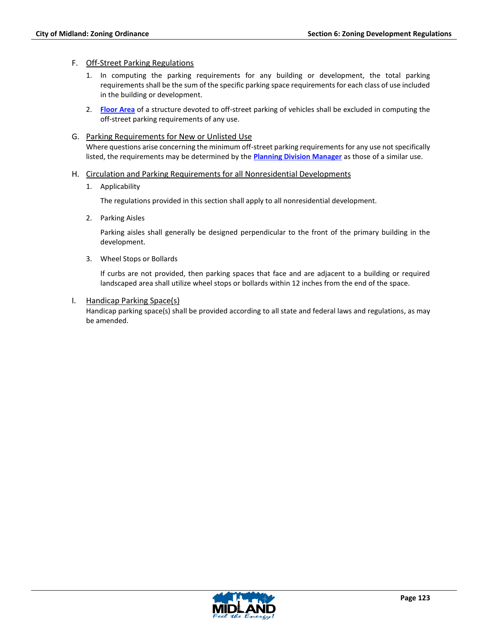## F. Off-Street Parking Regulations

- 1. In computing the parking requirements for any building or development, the total parking requirements shall be the sum of the specific parking space requirements for each class of use included in the building or development.
- 2. **Floor Area** of a structure devoted to off-street parking of vehicles shall be excluded in computing the off-street parking requirements of any use.

#### G. Parking Requirements for New or Unlisted Use

Where questions arise concerning the minimum off-street parking requirements for any use not specifically listed, the requirements may be determined by the **Planning Division Manager** as those of a similar use.

### H. Circulation and Parking Requirements for all Nonresidential Developments

1. Applicability

The regulations provided in this section shall apply to all nonresidential development.

2. Parking Aisles

Parking aisles shall generally be designed perpendicular to the front of the primary building in the development.

3. Wheel Stops or Bollards

If curbs are not provided, then parking spaces that face and are adjacent to a building or required landscaped area shall utilize wheel stops or bollards within 12 inches from the end of the space.

### I. Handicap Parking Space(s)

Handicap parking space(s) shall be provided according to all state and federal laws and regulations, as may be amended.

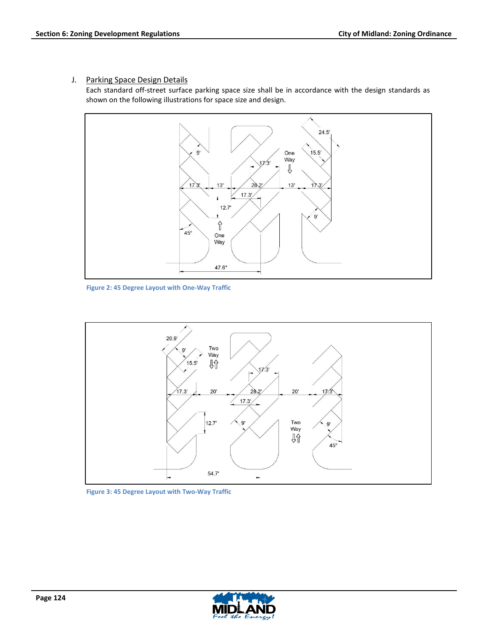## J. Parking Space Design Details

Each standard off-street surface parking space size shall be in accordance with the design standards as shown on the following illustrations for space size and design.



**Figure 2: 45 Degree Layout with One-Way Traffic**



**Figure 3: 45 Degree Layout with Two-Way Traffic**

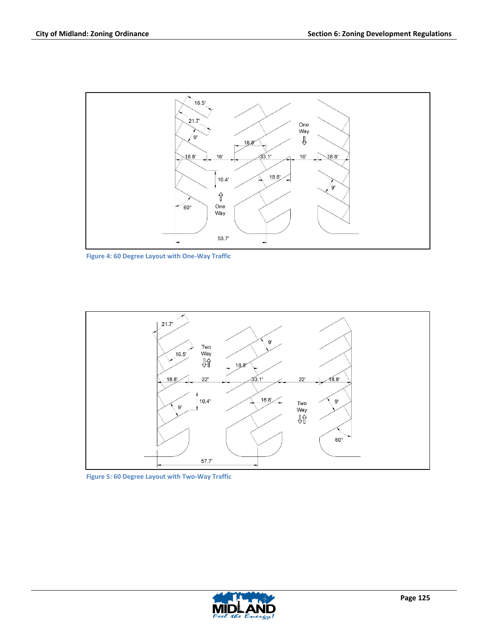

**Figure 4: 60 Degree Layout with One-Way Traffic**



**Figure 5: 60 Degree Layout with Two-Way Traffic**

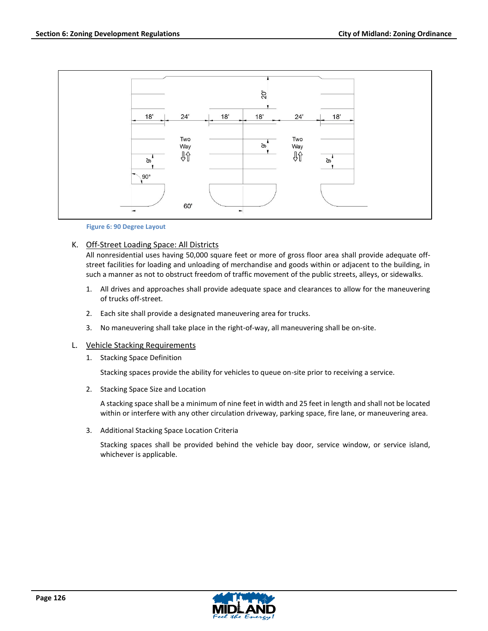

**Figure 6: 90 Degree Layout**

## K. Off-Street Loading Space: All Districts

All nonresidential uses having 50,000 square feet or more of gross floor area shall provide adequate offstreet facilities for loading and unloading of merchandise and goods within or adjacent to the building, in such a manner as not to obstruct freedom of traffic movement of the public streets, alleys, or sidewalks.

- 1. All drives and approaches shall provide adequate space and clearances to allow for the maneuvering of trucks off-street.
- 2. Each site shall provide a designated maneuvering area for trucks.
- 3. No maneuvering shall take place in the right-of-way, all maneuvering shall be on-site.

## L. Vehicle Stacking Requirements

1. Stacking Space Definition

Stacking spaces provide the ability for vehicles to queue on-site prior to receiving a service.

2. Stacking Space Size and Location

A stacking space shall be a minimum of nine feet in width and 25 feet in length and shall not be located within or interfere with any other circulation driveway, parking space, fire lane, or maneuvering area.

3. Additional Stacking Space Location Criteria

Stacking spaces shall be provided behind the vehicle bay door, service window, or service island, whichever is applicable.